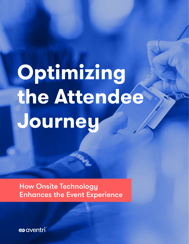## **Optimizing the Attendee Journey**

How Onsite Technology Enhances the Event Experience

**@aventri**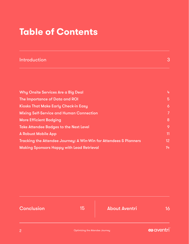## **Table of Contents**

| Introduction                                                      | 3              |
|-------------------------------------------------------------------|----------------|
|                                                                   |                |
| <b>Why Onsite Services Are a Big Deal</b>                         | 4              |
| The Importance of Data and ROI                                    | $\overline{5}$ |
| <b>Kiosks That Make Early Check-in Easy</b>                       | 6              |
| <b>Mixing Self-Service and Human Connection</b>                   | 7              |
| <b>More Efficient Badging</b>                                     | 8              |
| <b>Take Attendee Badges to the Next Level</b>                     | 9              |
| <b>A Robust Mobile App</b>                                        | 11             |
| Tracking the Attendee Journey: A Win-Win for Attendees & Planners | 12             |
| <b>Making Sponsors Happy with Lead Retrieval</b>                  | 14             |

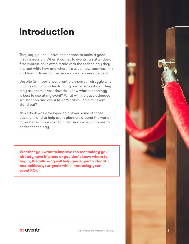## <span id="page-2-0"></span>**Introduction**

They say you only have one chance to make a good first impression. When it comes to events, an attendee's first impression is often made with the technology they interact with; how and where it's used, how seamless it is and how it drives convenience as well as engagement.

Despite its importance, event planners still struggle when it comes to fully understanding onsite technology. They may ask themselves: How do I know what technology is best to use at my event? What will increase attendee satisfaction and event ROI? What will help my event stand out?

This eBook was developed to answer some of those questions and to help event planners around the world make better, more strategic decisions when it comes to onsite technology.

**Whether you want to improve the technology you already have in place or you don't know where to begin, the following will help guide you to identify and achieve your goals while increasing your event ROI.**